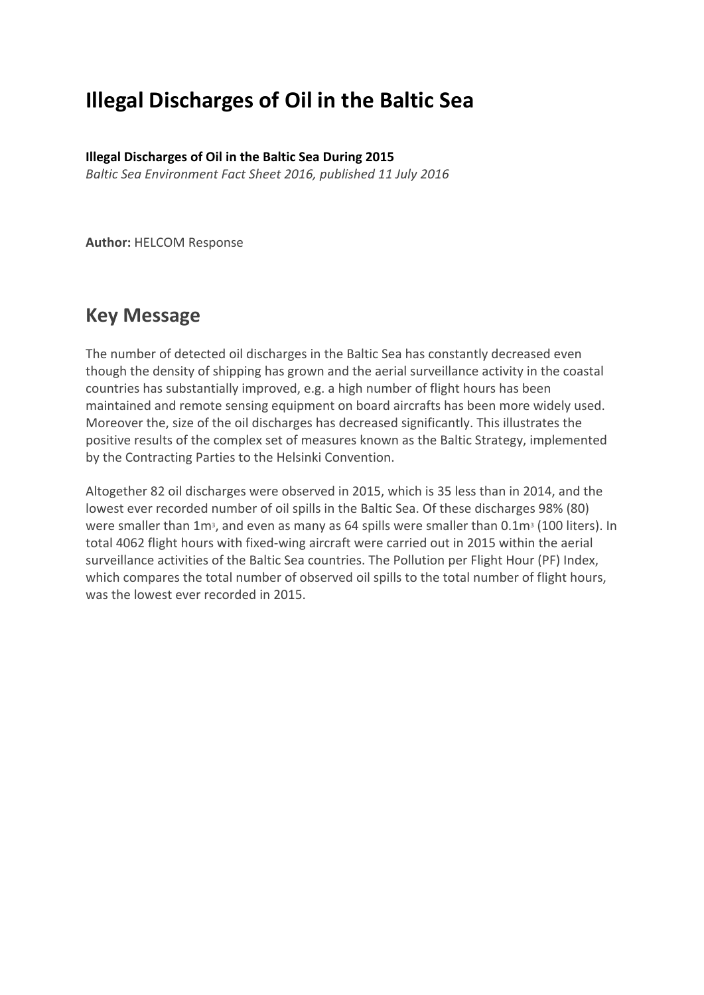# **Illegal Discharges of Oil in the Baltic Sea**

**Illegal Discharges of Oil in the Baltic Sea During 2015**

*Baltic Sea Environment Fact Sheet 2016, published 11 July 2016*

**Author:** HELCOM Response

## **Key Message**

The number of detected oil discharges in the Baltic Sea has constantly decreased even though the density of shipping has grown and the aerial surveillance activity in the coastal countries has substantially improved, e.g. a high number of flight hours has been maintained and remote sensing equipment on board aircrafts has been more widely used. Moreover the, size of the oil discharges has decreased significantly. This illustrates the positive results of the complex set of measures known as the Baltic Strategy, implemented by the Contracting Parties to the Helsinki Convention.

Altogether 82 oil discharges were observed in 2015, which is 35 less than in 2014, and the lowest ever recorded number of oil spills in the Baltic Sea. Of these discharges 98% (80) were smaller than 1m<sup>3</sup>, and even as many as 64 spills were smaller than 0.1m<sup>3</sup> (100 liters). In total 4062 flight hours with fixed-wing aircraft were carried out in 2015 within the aerial surveillance activities of the Baltic Sea countries. The Pollution per Flight Hour (PF) Index, which compares the total number of observed oil spills to the total number of flight hours, was the lowest ever recorded in 2015.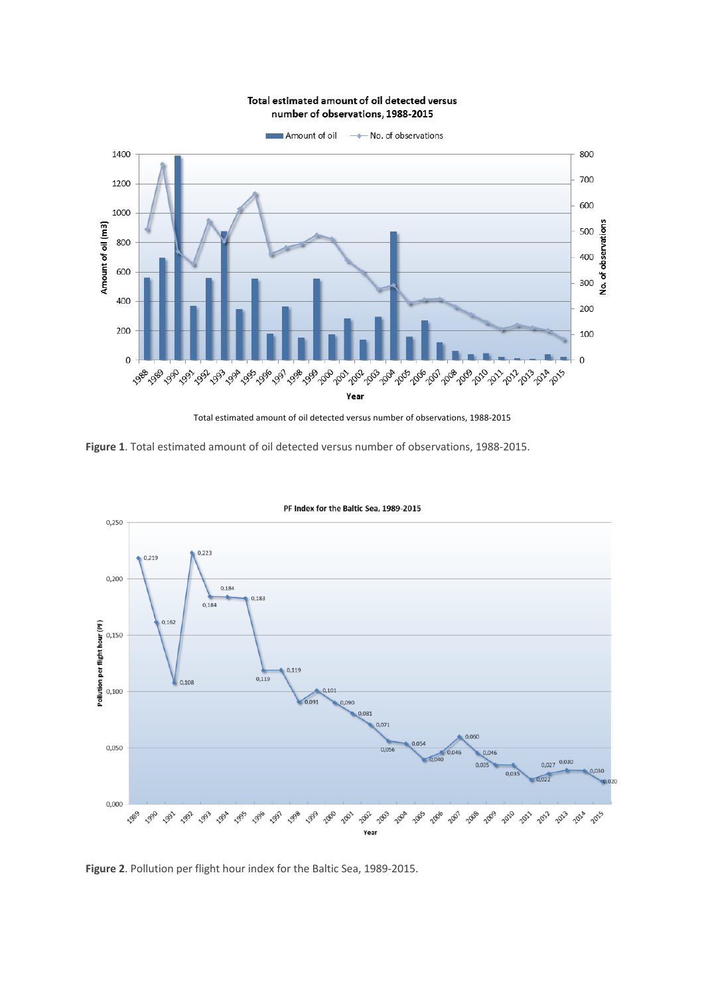#### Total estimated amount of oil detected versus number of observations, 1988-2015



Total estimated amount of oil detected versus number of observations, 1988-2015

**Figure 1**. Total estimated amount of oil detected versus number of observations, 1988-2015.



PF Index for the Baltic Sea, 1989-2015

**Figure 2**. Pollution per flight hour index for the Baltic Sea, 1989-2015.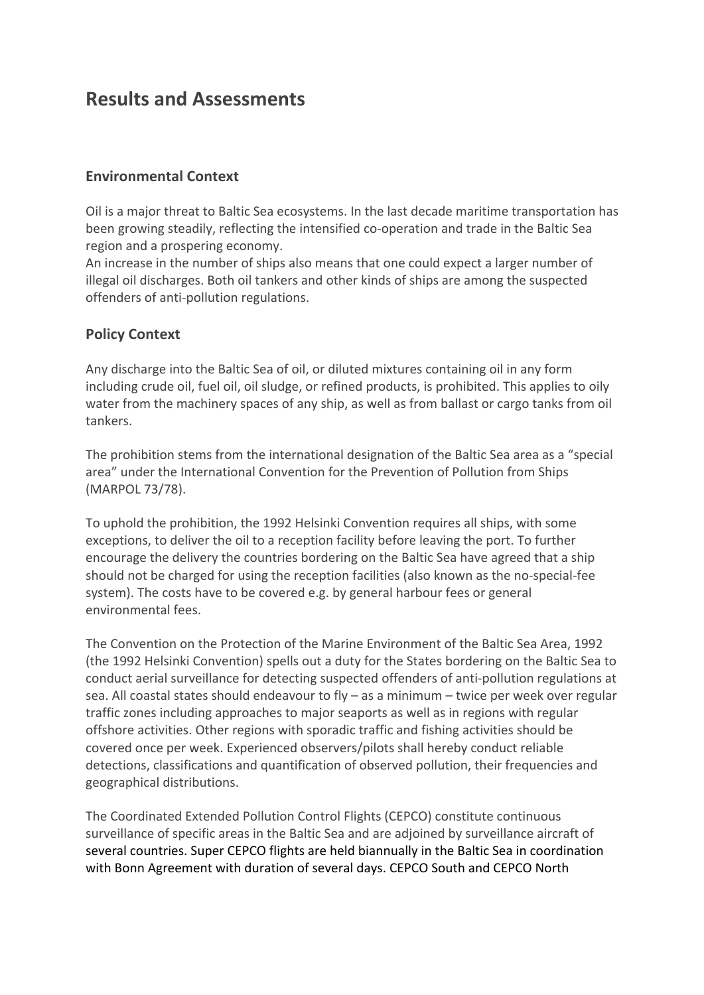## **Results and Assessments**

### **Environmental Context**

Oil is a major threat to Baltic Sea ecosystems. In the last decade maritime transportation has been growing steadily, reflecting the intensified co-operation and trade in the Baltic Sea region and a prospering economy.

An increase in the number of ships also means that one could expect a larger number of illegal oil discharges. Both oil tankers and other kinds of ships are among the suspected offenders of anti-pollution regulations.

### **Policy Context**

Any discharge into the Baltic Sea of oil, or diluted mixtures containing oil in any form including crude oil, fuel oil, oil sludge, or refined products, is prohibited. This applies to oily water from the machinery spaces of any ship, as well as from ballast or cargo tanks from oil tankers.

The prohibition stems from the international designation of the Baltic Sea area as a "special area" under the International Convention for the Prevention of Pollution from Ships (MARPOL 73/78).

To uphold the prohibition, the 1992 Helsinki Convention requires all ships, with some exceptions, to deliver the oil to a reception facility before leaving the port. To further encourage the delivery the countries bordering on the Baltic Sea have agreed that a ship should not be charged for using the reception facilities (also known as the no-special-fee system). The costs have to be covered e.g. by general harbour fees or general environmental fees.

The Convention on the Protection of the Marine Environment of the Baltic Sea Area, 1992 (the 1992 Helsinki Convention) spells out a duty for the States bordering on the Baltic Sea to conduct aerial surveillance for detecting suspected offenders of anti-pollution regulations at sea. All coastal states should endeavour to fly – as a minimum – twice per week over regular traffic zones including approaches to major seaports as well as in regions with regular offshore activities. Other regions with sporadic traffic and fishing activities should be covered once per week. Experienced observers/pilots shall hereby conduct reliable detections, classifications and quantification of observed pollution, their frequencies and geographical distributions.

The Coordinated Extended Pollution Control Flights (CEPCO) constitute continuous surveillance of specific areas in the Baltic Sea and are adjoined by surveillance aircraft of several countries. Super CEPCO flights are held biannually in the Baltic Sea in coordination with Bonn Agreement with duration of several days. CEPCO South and CEPCO North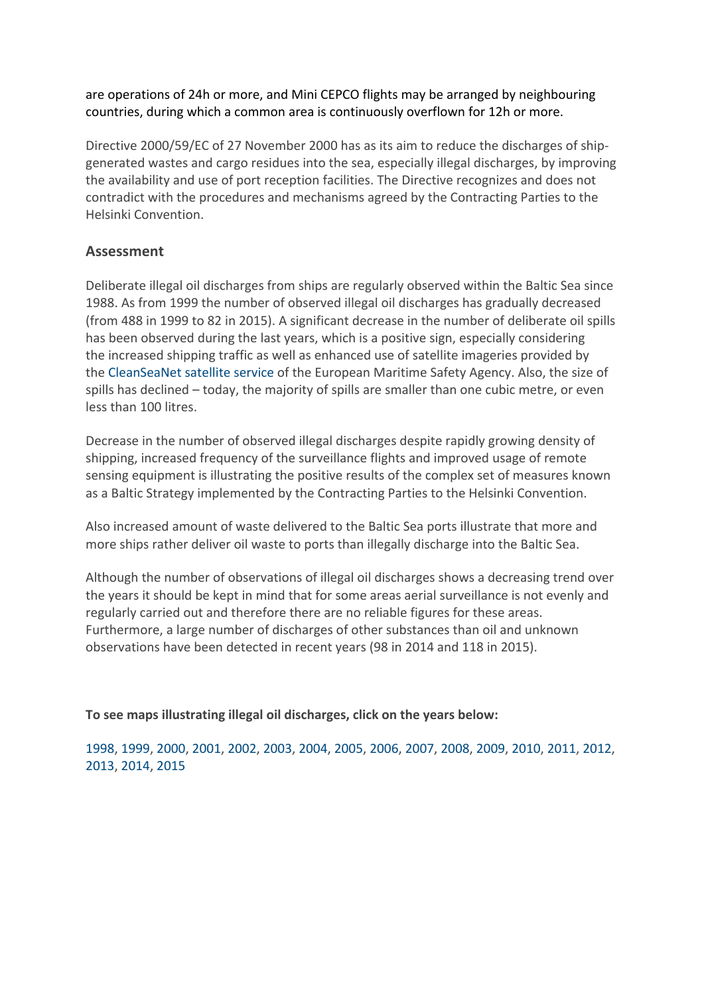#### are operations of 24h or more, and Mini CEPCO flights may be arranged by neighbouring countries, during which a common area is continuously overflown for 12h or more.

Directive 2000/59/EC of 27 November 2000 has as its aim to reduce the discharges of shipgenerated wastes and cargo residues into the sea, especially illegal discharges, by improving the availability and use of port reception facilities. The Directive recognizes and does not contradict with the procedures and mechanisms agreed by the Contracting Parties to the Helsinki Convention.

### **Assessment**

Deliberate illegal oil discharges from ships are regularly observed within the Baltic Sea since 1988. As from 1999 the number of observed illegal oil discharges has gradually decreased (from 488 in 1999 to 82 in 2015). A significant decrease in the number of deliberate oil spills has been observed during the last years, which is a positive sign, especially considering the increased shipping traffic as well as enhanced use of satellite imageries provided by the CleanSeaNet satellite service of the European Maritime Safety Agency. Also, the size of spills has declined – today, the majority of spills are smaller than one cubic metre, or even less than 100 litres.

Decrease in the number of observed illegal discharges despite rapidly growing density of shipping, increased frequency of the surveillance flights and improved usage of remote sensing equipment is illustrating the positive results of the complex set of measures known as a Baltic Strategy implemented by the Contracting Parties to the Helsinki Convention.

Also increased amount of waste delivered to the Baltic Sea ports illustrate that more and more ships rather deliver oil waste to ports than illegally discharge into the Baltic Sea.

Although the number of observations of illegal oil discharges shows a decreasing trend over the years it should be kept in mind that for some areas aerial surveillance is not evenly and regularly carried out and therefore there are no reliable figures for these areas. Furthermore, a large number of discharges of other substances than oil and unknown observations have been detected in recent years (98 in 2014 and 118 in 2015).

**To see maps illustrating illegal oil discharges, click on the years below:**

1998, 1999, 2000, 2001, 2002, 2003, 2004, 2005, 2006, 2007, 2008, 2009, 2010, 2011, 2012, 2013, 2014, 2015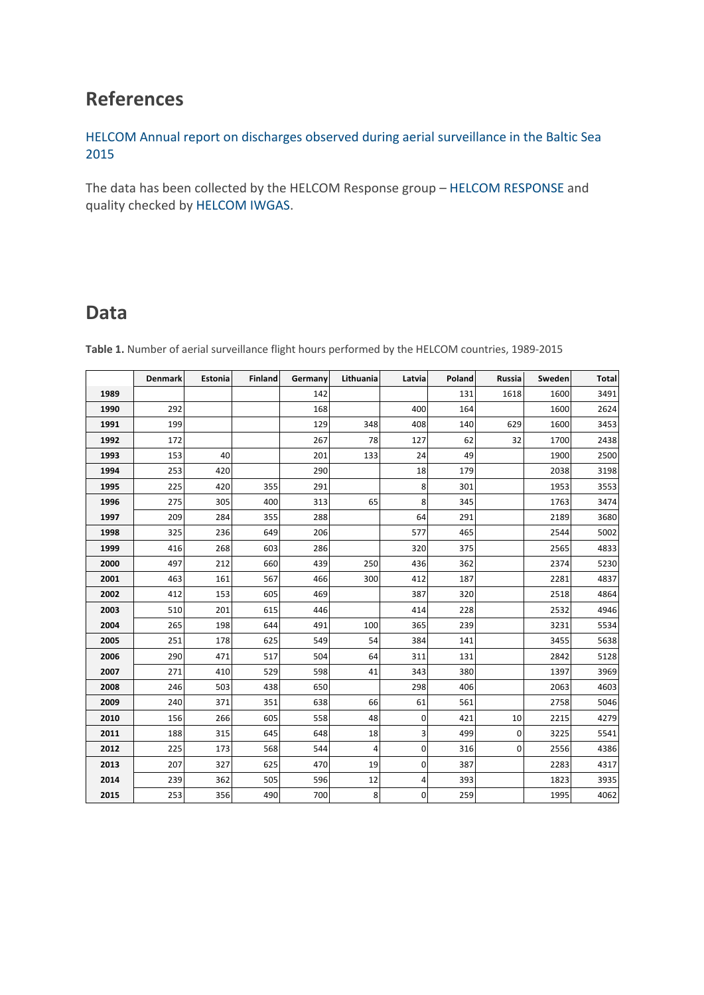# **References**

HELCOM Annual report on discharges observed during aerial surveillance in the Baltic Sea 

The data has been collected by the HELCOM Response group – HELCOM RESPONSE and quality checked by HELCOM IWGAS.

### **Data**

|      | <b>Denmark</b> | Estonia | <b>Finland</b> | Germany | Lithuania      | Latvia       | Poland | Russia | Sweden | <b>Total</b> |
|------|----------------|---------|----------------|---------|----------------|--------------|--------|--------|--------|--------------|
| 1989 |                |         |                | 142     |                |              | 131    | 1618   | 1600   | 3491         |
| 1990 | 292            |         |                | 168     |                | 400          | 164    |        | 1600   | 2624         |
| 1991 | 199            |         |                | 129     | 348            | 408          | 140    | 629    | 1600   | 3453         |
| 1992 | 172            |         |                | 267     | 78             | 127          | 62     | 32     | 1700   | 2438         |
| 1993 | 153            | 40      |                | 201     | 133            | 24           | 49     |        | 1900   | 2500         |
| 1994 | 253            | 420     |                | 290     |                | 18           | 179    |        | 2038   | 3198         |
| 1995 | 225            | 420     | 355            | 291     |                | 8            | 301    |        | 1953   | 3553         |
| 1996 | 275            | 305     | 400            | 313     | 65             | 8            | 345    |        | 1763   | 3474         |
| 1997 | 209            | 284     | 355            | 288     |                | 64           | 291    |        | 2189   | 3680         |
| 1998 | 325            | 236     | 649            | 206     |                | 577          | 465    |        | 2544   | 5002         |
| 1999 | 416            | 268     | 603            | 286     |                | 320          | 375    |        | 2565   | 4833         |
| 2000 | 497            | 212     | 660            | 439     | 250            | 436          | 362    |        | 2374   | 5230         |
| 2001 | 463            | 161     | 567            | 466     | 300            | 412          | 187    |        | 2281   | 4837         |
| 2002 | 412            | 153     | 605            | 469     |                | 387          | 320    |        | 2518   | 4864         |
| 2003 | 510            | 201     | 615            | 446     |                | 414          | 228    |        | 2532   | 4946         |
| 2004 | 265            | 198     | 644            | 491     | 100            | 365          | 239    |        | 3231   | 5534         |
| 2005 | 251            | 178     | 625            | 549     | 54             | 384          | 141    |        | 3455   | 5638         |
| 2006 | 290            | 471     | 517            | 504     | 64             | 311          | 131    |        | 2842   | 5128         |
| 2007 | 271            | 410     | 529            | 598     | 41             | 343          | 380    |        | 1397   | 3969         |
| 2008 | 246            | 503     | 438            | 650     |                | 298          | 406    |        | 2063   | 4603         |
| 2009 | 240            | 371     | 351            | 638     | 66             | 61           | 561    |        | 2758   | 5046         |
| 2010 | 156            | 266     | 605            | 558     | 48             | 0            | 421    | 10     | 2215   | 4279         |
| 2011 | 188            | 315     | 645            | 648     | 18             | 3            | 499    | 0      | 3225   | 5541         |
| 2012 | 225            | 173     | 568            | 544     | $\overline{4}$ | $\mathbf 0$  | 316    | 0      | 2556   | 4386         |
| 2013 | 207            | 327     | 625            | 470     | 19             | 0            | 387    |        | 2283   | 4317         |
| 2014 | 239            | 362     | 505            | 596     | 12             | 4            | 393    |        | 1823   | 3935         |
| 2015 | 253            | 356     | 490            | 700     | 8              | $\mathbf{0}$ | 259    |        | 1995   | 4062         |

**Table 1.** Number of aerial surveillance flight hours performed by the HELCOM countries, 1989-2015